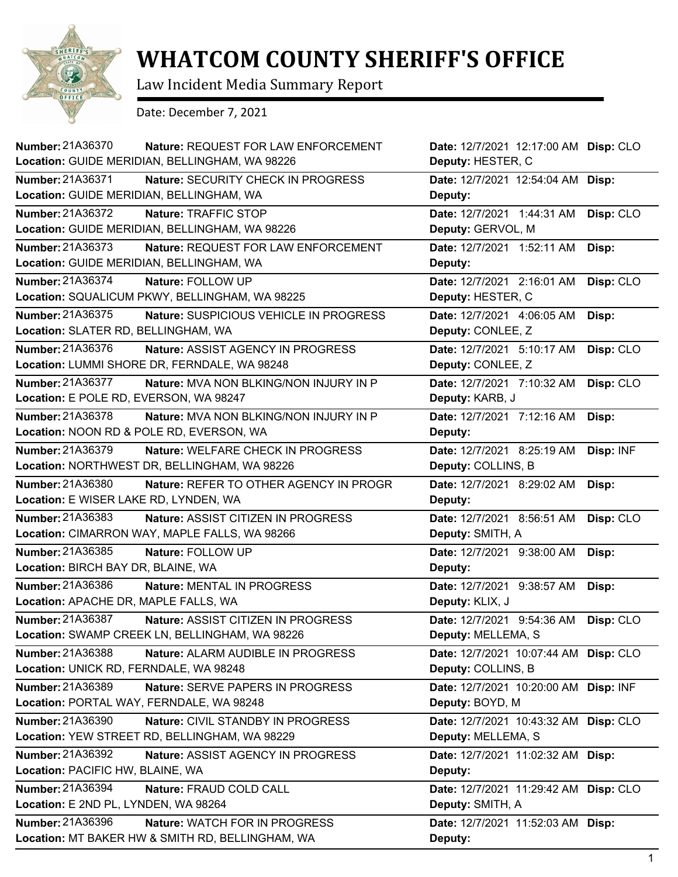

## **WHATCOM COUNTY SHERIFF'S OFFICE**

Law Incident Media Summary Report

Date: December 7, 2021

| <b>Number: 21A36370</b><br><b>Nature: REQUEST FOR LAW ENFORCEMENT</b><br>Location: GUIDE MERIDIAN, BELLINGHAM, WA 98226 | Date: 12/7/2021 12:17:00 AM Disp: CLO<br>Deputy: HESTER, C |           |
|-------------------------------------------------------------------------------------------------------------------------|------------------------------------------------------------|-----------|
| <b>Number: 21A36371</b><br>Nature: SECURITY CHECK IN PROGRESS<br>Location: GUIDE MERIDIAN, BELLINGHAM, WA               | Date: 12/7/2021 12:54:04 AM Disp:<br>Deputy:               |           |
| Number: 21A36372<br>Nature: TRAFFIC STOP<br>Location: GUIDE MERIDIAN, BELLINGHAM, WA 98226                              | Date: 12/7/2021 1:44:31 AM<br>Deputy: GERVOL, M            | Disp: CLO |
| Number: 21A36373<br>Nature: REQUEST FOR LAW ENFORCEMENT<br>Location: GUIDE MERIDIAN, BELLINGHAM, WA                     | Date: 12/7/2021 1:52:11 AM<br>Deputy:                      | Disp:     |
| Number: 21A36374<br>Nature: FOLLOW UP<br>Location: SQUALICUM PKWY, BELLINGHAM, WA 98225                                 | Date: 12/7/2021 2:16:01 AM<br>Deputy: HESTER, C            | Disp: CLO |
| Number: 21A36375<br>Nature: SUSPICIOUS VEHICLE IN PROGRESS<br>Location: SLATER RD, BELLINGHAM, WA                       | Date: 12/7/2021 4:06:05 AM<br>Deputy: CONLEE, Z            | Disp:     |
| Number: 21A36376<br><b>Nature: ASSIST AGENCY IN PROGRESS</b><br>Location: LUMMI SHORE DR, FERNDALE, WA 98248            | Date: 12/7/2021 5:10:17 AM<br>Deputy: CONLEE, Z            | Disp: CLO |
| Number: 21A36377<br>Nature: MVA NON BLKING/NON INJURY IN P<br>Location: E POLE RD, EVERSON, WA 98247                    | Date: 12/7/2021 7:10:32 AM<br>Deputy: KARB, J              | Disp: CLO |
| Number: 21A36378<br><b>Nature: MVA NON BLKING/NON INJURY IN P</b><br>Location: NOON RD & POLE RD, EVERSON, WA           | Date: 12/7/2021 7:12:16 AM<br>Deputy:                      | Disp:     |
| Number: 21A36379<br>Nature: WELFARE CHECK IN PROGRESS<br>Location: NORTHWEST DR, BELLINGHAM, WA 98226                   | Date: 12/7/2021 8:25:19 AM<br>Deputy: COLLINS, B           | Disp: INF |
| Number: 21A36380<br>Nature: REFER TO OTHER AGENCY IN PROGR<br>Location: E WISER LAKE RD, LYNDEN, WA                     | Date: 12/7/2021 8:29:02 AM<br>Deputy:                      | Disp:     |
| Number: 21A36383<br>Nature: ASSIST CITIZEN IN PROGRESS<br>Location: CIMARRON WAY, MAPLE FALLS, WA 98266                 | Date: 12/7/2021 8:56:51 AM<br>Deputy: SMITH, A             | Disp: CLO |
| Number: 21A36385<br>Nature: FOLLOW UP<br>Location: BIRCH BAY DR, BLAINE, WA                                             | Date: 12/7/2021 9:38:00 AM<br>Deputy:                      | Disp:     |
| Number: 21A36386<br>Nature: MENTAL IN PROGRESS<br>Location: APACHE DR, MAPLE FALLS, WA                                  | Date: 12/7/2021 9:38:57 AM<br>Deputy: KLIX, J              | Disp:     |
| Number: 21A36387<br>Nature: ASSIST CITIZEN IN PROGRESS<br>Location: SWAMP CREEK LN, BELLINGHAM, WA 98226                | Date: 12/7/2021 9:54:36 AM<br>Deputy: MELLEMA, S           | Disp: CLO |
| Number: 21A36388<br>Nature: ALARM AUDIBLE IN PROGRESS<br>Location: UNICK RD, FERNDALE, WA 98248                         | Date: 12/7/2021 10:07:44 AM<br>Deputy: COLLINS, B          | Disp: CLO |
| Number: 21A36389<br>Nature: SERVE PAPERS IN PROGRESS<br>Location: PORTAL WAY, FERNDALE, WA 98248                        | Date: 12/7/2021 10:20:00 AM<br>Deputy: BOYD, M             | Disp: INF |
| Number: 21A36390<br>Nature: CIVIL STANDBY IN PROGRESS<br>Location: YEW STREET RD, BELLINGHAM, WA 98229                  | Date: 12/7/2021 10:43:32 AM<br>Deputy: MELLEMA, S          | Disp: CLO |
| Number: 21A36392<br>Nature: ASSIST AGENCY IN PROGRESS<br>Location: PACIFIC HW, BLAINE, WA                               | Date: 12/7/2021 11:02:32 AM<br>Deputy:                     | Disp:     |
| Number: 21A36394<br>Nature: FRAUD COLD CALL<br>Location: E 2ND PL, LYNDEN, WA 98264                                     | Date: 12/7/2021 11:29:42 AM<br>Deputy: SMITH, A            | Disp: CLO |
| Number: 21A36396<br>Nature: WATCH FOR IN PROGRESS<br>Location: MT BAKER HW & SMITH RD, BELLINGHAM, WA                   | Date: 12/7/2021 11:52:03 AM<br>Deputy:                     | Disp:     |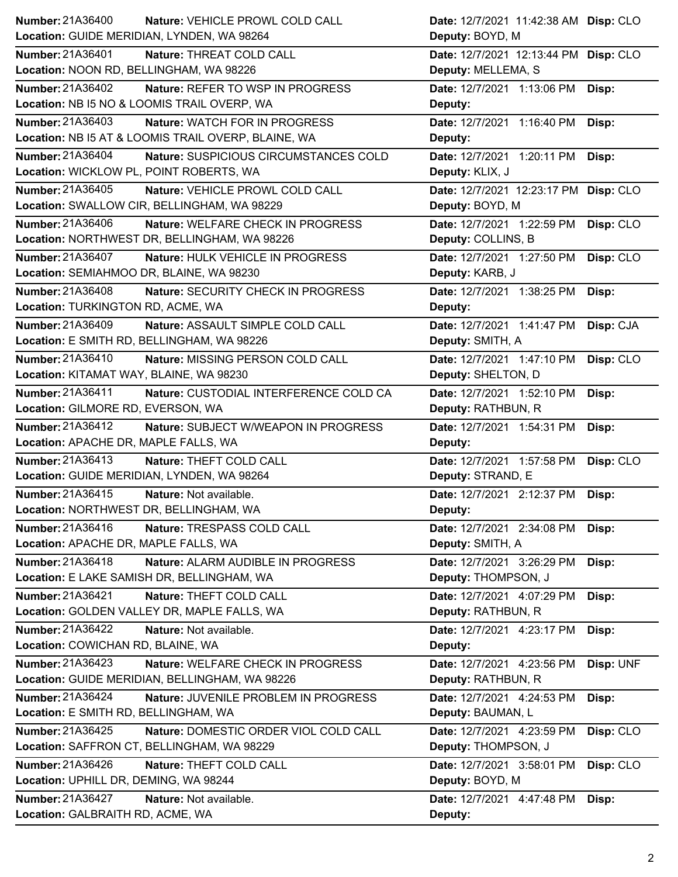| Number: 21A36400<br>Nature: VEHICLE PROWL COLD CALL        | Date: 12/7/2021 11:42:38 AM Disp: CLO   |
|------------------------------------------------------------|-----------------------------------------|
| Location: GUIDE MERIDIAN, LYNDEN, WA 98264                 | Deputy: BOYD, M                         |
| Number: 21A36401<br>Nature: THREAT COLD CALL               | Date: 12/7/2021 12:13:44 PM Disp: CLO   |
| Location: NOON RD, BELLINGHAM, WA 98226                    | Deputy: MELLEMA, S                      |
| Number: 21A36402<br>Nature: REFER TO WSP IN PROGRESS       | Date: 12/7/2021 1:13:06 PM<br>Disp:     |
| Location: NB I5 NO & LOOMIS TRAIL OVERP, WA                | Deputy:                                 |
| Number: 21A36403<br><b>Nature: WATCH FOR IN PROGRESS</b>   | Date: 12/7/2021 1:16:40 PM<br>Disp:     |
| Location: NB I5 AT & LOOMIS TRAIL OVERP, BLAINE, WA        | Deputy:                                 |
| Number: 21A36404<br>Nature: SUSPICIOUS CIRCUMSTANCES COLD  | Date: 12/7/2021 1:20:11 PM<br>Disp:     |
| Location: WICKLOW PL, POINT ROBERTS, WA                    | Deputy: KLIX, J                         |
| Number: 21A36405<br>Nature: VEHICLE PROWL COLD CALL        | Date: 12/7/2021 12:23:17 PM Disp: CLO   |
| Location: SWALLOW CIR, BELLINGHAM, WA 98229                | Deputy: BOYD, M                         |
| Number: 21A36406<br>Nature: WELFARE CHECK IN PROGRESS      | Date: 12/7/2021 1:22:59 PM<br>Disp: CLO |
| Location: NORTHWEST DR, BELLINGHAM, WA 98226               | Deputy: COLLINS, B                      |
| Number: 21A36407<br>Nature: HULK VEHICLE IN PROGRESS       | Date: 12/7/2021 1:27:50 PM<br>Disp: CLO |
| Location: SEMIAHMOO DR, BLAINE, WA 98230                   | Deputy: KARB, J                         |
| Number: 21A36408<br>Nature: SECURITY CHECK IN PROGRESS     | Date: 12/7/2021 1:38:25 PM<br>Disp:     |
| Location: TURKINGTON RD, ACME, WA                          | Deputy:                                 |
| Number: 21A36409<br>Nature: ASSAULT SIMPLE COLD CALL       | Date: 12/7/2021 1:41:47 PM<br>Disp: CJA |
| Location: E SMITH RD, BELLINGHAM, WA 98226                 | Deputy: SMITH, A                        |
| Number: 21A36410<br>Nature: MISSING PERSON COLD CALL       | Date: 12/7/2021 1:47:10 PM<br>Disp: CLO |
| Location: KITAMAT WAY, BLAINE, WA 98230                    | Deputy: SHELTON, D                      |
| Number: 21A36411<br>Nature: CUSTODIAL INTERFERENCE COLD CA | Date: 12/7/2021 1:52:10 PM<br>Disp:     |
| Location: GILMORE RD, EVERSON, WA                          | Deputy: RATHBUN, R                      |
|                                                            |                                         |
| Number: 21A36412<br>Nature: SUBJECT W/WEAPON IN PROGRESS   | Date: 12/7/2021 1:54:31 PM<br>Disp:     |
| Location: APACHE DR, MAPLE FALLS, WA                       | Deputy:                                 |
| Number: 21A36413<br>Nature: THEFT COLD CALL                | Disp: CLO<br>Date: 12/7/2021 1:57:58 PM |
| Location: GUIDE MERIDIAN, LYNDEN, WA 98264                 | Deputy: STRAND, E                       |
| Number: 21A36415<br>Nature: Not available.                 | Date: 12/7/2021 2:12:37 PM<br>Disp:     |
| Location: NORTHWEST DR, BELLINGHAM, WA                     | Deputy:                                 |
| Number: 21A36416<br>Nature: TRESPASS COLD CALL             | Date: 12/7/2021 2:34:08 PM<br>Disp:     |
| Location: APACHE DR, MAPLE FALLS, WA                       | Deputy: SMITH, A                        |
| Number: 21A36418<br>Nature: ALARM AUDIBLE IN PROGRESS      | Date: 12/7/2021 3:26:29 PM<br>Disp:     |
| Location: E LAKE SAMISH DR, BELLINGHAM, WA                 | Deputy: THOMPSON, J                     |
| Number: 21A36421<br>Nature: THEFT COLD CALL                | Date: 12/7/2021 4:07:29 PM<br>Disp:     |
| Location: GOLDEN VALLEY DR, MAPLE FALLS, WA                | Deputy: RATHBUN, R                      |
| Number: 21A36422<br>Nature: Not available.                 | Date: 12/7/2021 4:23:17 PM<br>Disp:     |
| Location: COWICHAN RD, BLAINE, WA                          | Deputy:                                 |
| Number: 21A36423<br>Nature: WELFARE CHECK IN PROGRESS      | Disp: UNF<br>Date: 12/7/2021 4:23:56 PM |
| Location: GUIDE MERIDIAN, BELLINGHAM, WA 98226             | Deputy: RATHBUN, R                      |
| Number: 21A36424<br>Nature: JUVENILE PROBLEM IN PROGRESS   | Date: 12/7/2021 4:24:53 PM<br>Disp:     |
| Location: E SMITH RD, BELLINGHAM, WA                       | Deputy: BAUMAN, L                       |
| Number: 21A36425<br>Nature: DOMESTIC ORDER VIOL COLD CALL  | Date: 12/7/2021 4:23:59 PM<br>Disp: CLO |
| Location: SAFFRON CT, BELLINGHAM, WA 98229                 | Deputy: THOMPSON, J                     |
| Number: 21A36426<br>Nature: THEFT COLD CALL                | Date: 12/7/2021 3:58:01 PM<br>Disp: CLO |
| Location: UPHILL DR, DEMING, WA 98244                      | Deputy: BOYD, M                         |
| Number: 21A36427<br>Nature: Not available.                 | Date: 12/7/2021 4:47:48 PM<br>Disp:     |